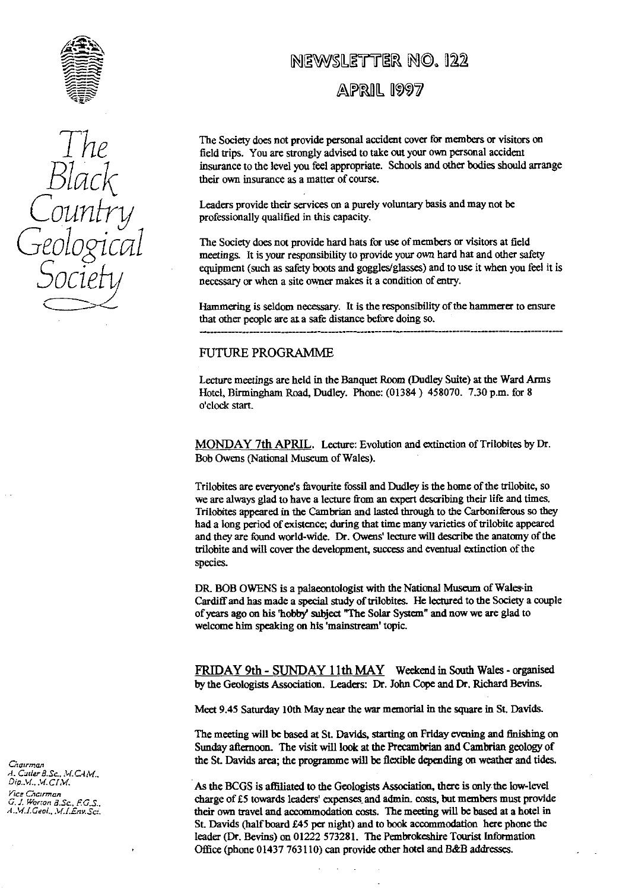

*7* B 1 L ! socleh

# iewsletter <mark>no. 122</mark>

APRIL 1997

The Society does not provide personal accident cover for members or visitors on<br>field trips. You are strongly advised to take out your own personal accident<br>in a graph of the land one for a graph of the hodies should are insurance to the level you feel appropriate. Schools and other bodies should arrange their own insurance as a matter of course.

Leaders provide their services on a purely voluntary basis and may not be professionally qualified in this capacity.

GEOLOCICAL The Society does not provide hard hats for use of members or visitors at field<br>meetings. It is your responsibility to provide your own hard hat and other safety equipment (such as safety boots and goggles/glasses) and to use it when you feel it is necessary or when a site owner makes it a condition of entry.

> Hammering is seldom necessary. It is the responsibility of the hammerer to ensure that other people are at a safe distance before doing so.

#### FUTURE PROGRAMME

Lecture meetings are held in the Banquet Room (Dudley Suite) at the Ward Arms Hotel, Birmingham Road, Dudley. Phone: (01384) 458070. 7.30 p.m. for 8 o'clock start.

MONDAY 7th APRIL. Lecture: Evolution and extinction of Trilobites by Dr. Bob Owens (National Museum of Wales).

Trilobites are everyone's favourite fossil and Dudley is the home **of the** trilobite, so we are always glad to have a lecture from an expert describing their life and times. Trilobites appeared in the Cambrian and lasted through to the Carboniferous so they had a long period of existence; during that time many va**ri**eties of trilobite appeared and they are found **world-wide.** Dr. Owens' lecture will describe the anatomy of the trilobite and will cover the devel**op**ment, success and eventual extinction of the species.

DR. BOB OWENS is a palaeontologist with the National Museum of Wales-in Cardi**ff** and has made a special study of trilobites. He lectured to the Society a couple of years ago on his 'hobby subject "The Solar System" and now we are glad to welcome him speaking on his 'mainstream' topic.

FRIDAY 9th - SUNDAY 11th MAY Weekend in South Wales - organised by the Geologists Association. Leaders: Dr. John Cope and Dr. Richard Bevins.

Meet 9.45 Saturday 10th May near the war memorial in the square in St. Davids.

The meeting will be based at St. Davids, starting on Friday evening and finishing on Sunday afternoon. The visit will look at the Precambrian and Cambrian geology of the St. Davids area; the programme will be flexible depending on weather and tides.

As the BCGS is affiliated to the Geologists Association, there is only the low-level *G. J. Worton 3.Sc.* F.G.S.. **charge of £5 towards leaders' expenses and admin. costs, but members must provide** *G. J. Worton 3.Sc.* F.G.S. A.M.I.Geol., M.I. Env. Sci. their own travel and accommodation costs. The meeting will be based at a hotel in St. Davids (half board £45 per night) and to book accommodation here phone the leader (Dr. Bevins) on 01222 573281. The Pembrokeshire Tourist Information Office (phone 01437 763110) can provide other hotel and B&B addresses.

Chairman *A. Catler B.Sc., M.CAM.,*<br>Dip..V., M.CI.M. Vice Chcirman<br>G. J. Worton B.Sc., F.G.S.,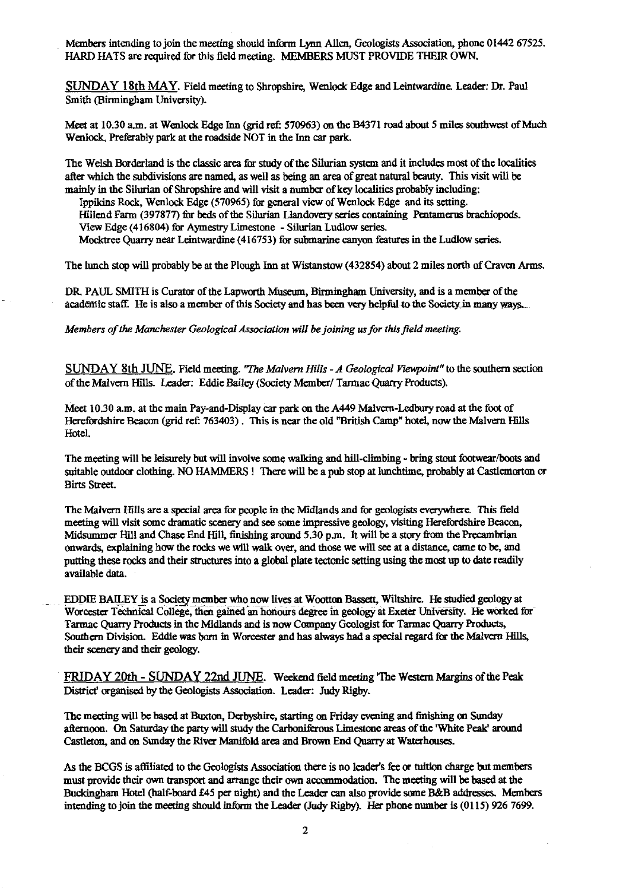Members intending to join the meeting should inform Lynn Allen, Geologists Association, phone 01442 67525. HARD HATS are required for this field meeting. MEMBERS MUST PROVIDE THEIR OWN.

SUNDAY 18th MAY. Field meeting to Shropshire, Wenlock Edge and Leintwardine. Leader: Dr. Paul Smith (Birmingham University).

Meet at 10.30 a.m. at Wenlock Edge Inn (grid refi 570963) on the B4371 road about 5 miles southwest of Much Wenlock, Preferably park at the roadside NOT in the Inn car park.

The Welsh Borderland is the classic area for study of the Silurian system and it includes most of the localities after which the subdivisions are named, as well as being an area of great natural beauty. This visit will be mainly in the Silurian of Shropshire and will visit a number of key localities probably including:

Ippikins Rock, Wenlock Edge (570965) for general *view* of Wenlock Edge and its setting. HiIiend Farm (397877) for beds of the Silurian Llandovery series containing Pentamerus brachiopods. View Edge (416804) for Aymestry Limestone - Silurian Ludlow series. Mocktree Quarry near Leintwardine (416753) for submarine canyon features in the Ludlow series.

The lunch stop will probably be at the Plough Inn at Wistanstow (432854) about 2 miles north of Craven Arms.

DR. PAUL SMITH is Curator of the Lapworth Museum, Birmingham University, and is a member of the academic staff. He is also a member of this Society and has been very helpful to the Society in many ways.

*Members of the Manchester Geological Association will be joining us for this field meeting.*

SUNDAY 8th JUNE. Field meeting. *"The Malvern Hills - A Geological Viewpoint"* to the southern section of the Malvern HElls. Leader: Eddie Bailey (Society Member/ Tarmac Quarry Products).

Meet 10.30 a.m. at the main Pay-and-Display car park on the A449 Malvern-Ledbury road at the foot of Herefordshire Beacon (grid ref: 763403) . This is near the old 'British Camp' hotel, now the Malvern Hills Hotel.

The meeting will be leisurely but will involve some walking and hill-climbing - bring stout footwear/boots and suitable outdoor clothing. NO HAMMERS! There will be a pub stop at lunchtime, probably at Castlemorton or Birts Street.

The Malvern Hills are a special area for people in the Midlands and for geologists everywhere. This field meeting will visit some dramatic scenery and see some impressive geology, visiting Herefordshire Beacon, Midsummer Hill and Chase End Hill, finishing around 5.30 p.m. It will be a story from the Precambrian onwards, explaining how the rocks we will walk over, and those we will see at a distance, came to be, and putting these rocks and their structures into a global plate tectonic setting using the most up to date readily available data.

EDDIE BAI<sup>L</sup> EY is a Society member who now lives at Wootton Bassett, Wiltshire. He studied geology at Worcester Technical College, them gained an honours degree in geology at Exeter University. He worked for Tarmac Quarry Products in the Midlands and is now Company Geologist for Tarmac Quarry Products, Southern Division. Eddie was born in Worcester and has always had a special regard for the Malvern Hills, their scenery and their geology.

*FRIDAY 20th - SUNDAY* 22nd JUNE. Weekend field meeting 'The Western Margins of the Peak District' organised by the Geologists Association. Leader: Judy Rigby.

The meeting will be based at Buxton, Derbyshire, starting on Friday evening and finishing on Sunday afternoon. On Saturday the party will study the Carboniferous Limestone areas of the 'White Peak' around Castleton, and on Sunday *the* River Manifold area and Brown End Quarry at Waterhouses.

As the BCGS is affiliated to the Geologists Association there is no leaders fee or tuition charge but members must provide their own transport and arrange their own accommodation. The meeting will be based at the Buckingham Hotel (half-board £45 per night) and the Leader can also provide some *B&B* addresses. Members intending to join the meeting should inform the Leader (Judy Rigby). Her phone number is (0115) 926 7699.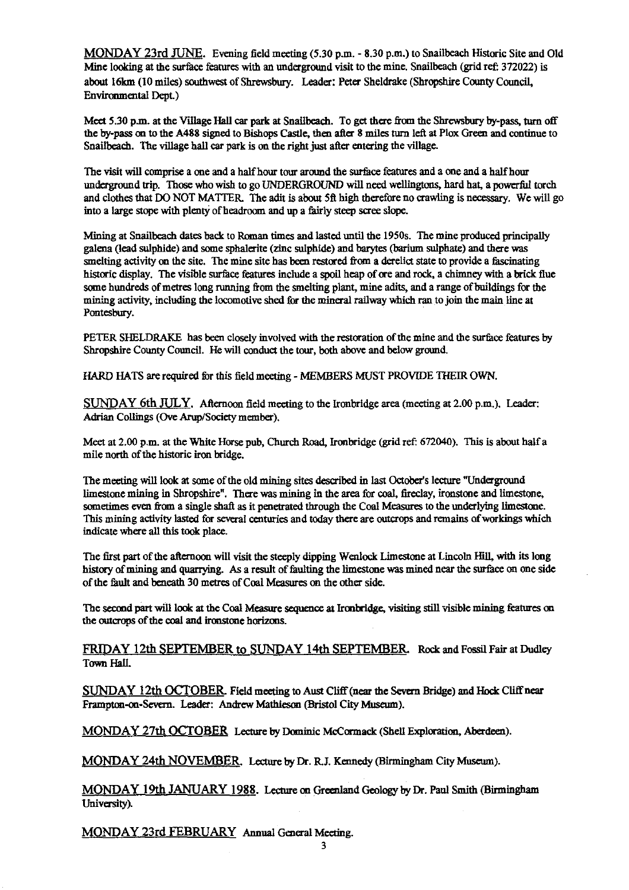MONDAY 23rd JUNE. Evening field meeting (5.30 p.m. - 8.30 p.m.) to Snailbeach Historic Site and Old Mine looking at the surface features with an underground visit to the mine. Snailbeach (grid ref: 372022) is about 16km (10 miles) southwest of Shrewsbury. Leader: Peter Sheldrake (Shropshire County Council, Environmental Dept.)

Meet 5.30 p.m. at the Village Hall car park at Snailbeach. To get there from the Shrewsbury by-pass, turn off the by-pass on to the A488 signed to Bishops Castle, then after 8 miles turn left at Plox Green and continue to Snailbeach. The village hall car park is on the right just after entering the village.

The visit will comprise a one and a half hour tour around the surface features and a one and a half hour underground trip. Those who wish to go UNDERGROUND will need wellingtons, hard hat, a powerful torch and clothes that DO NOT MATTER. The adit is about 5ft high therefore no crawling is necessary. We will go into a large stope with plenty of headroom and up a fairly steep scree slope.

Mining at Snailbeach dates back to Roman times and lasted until the 1950s. The mine produced principally galena (lead sulphide) and some sphalerite (zinc sulphide) and barytes (barium sulphate) and there was smelting activity on the site. The mine site has been restored from a derelict state to provide a fascinating historic display. The visible surface features include a spoil heap of ore and rock, a chimney with a brick flue some hundreds of metres long running from the smelting plant, mine adits, and a range of buildings for the mining activity, including the locomotive shed for the mineral railway which ran to join the main line at Pontesbury.

PETER SHELORAKE has been closely involved with the restoration of the mine and the surface features by Shropshire County Council. He will conduct the tour, both above and below ground.

HARD HATS are required for this field meeting - MEMBERS MUST PROVIDE THEIR OWN.

SUNDAY 6th JULY. Afternoon field meeting to the Ironbridge area (meeting at 2.00 p.m.). Leader: Adrian Collings (Ove Arup/Society member).

Meet at 2.00 p.m. at the White Horse pub, Church Road, Ironbridge (grid ref: 672040). This is about half a mile north of the historic iron bridge.

The meeting will look at some of the old mining sites described in last October's lecture "Underground limestone mining in Shropshire". There was mining in the area for coal, fireclay, ironstone and limestone, sometimes even from a single shaft as it penetrated through the Coal Measures to the underlying limestone. This mining activity lasted for several centuries and today there are outcrops and remains of workings which indicate where all this took place.

The first part of the afternoon will visit the steeply dipping Wenlock Limestone at Lincoln Hill, with its long history of mining and quarrying. As a result of faulting the limestone was mined near the surface on one side of the fault and beneath 30 metres of Coal Measures **on** the other side.

The second part will look at the Coal Measure sequence at Ironbridge, visiting still visible mining features on the outcrops of the coal and ironstone horizons.

FRIDAY 12th SEPTEMBER to SUNDAY 14th SEPTEMBER. Rock and Fossil Fair at Dudley Town Hall.

SUNDAY 12th **OCFOBER** Field meeting to Aust Cliff (near the Severn Bridge) and Hock Cliff near Frampton-on-Severn. Leader: Andrew Mathieson (Bristol City Museum).

MONDAY 27th OCTOBER Lecture by Dominic McCormack (Shell Exploration, Aberdeen).

MONDAY 24th NOVEMBER. Lecture by Dr. R.3. Kennedy (Birmingham City Museum).

MONDAY 19th JANUARY 1988 . Lecture on Greenland Geology by Dr. Paul Smith (Birmingham University).

MONDAY 23rd FEBRUARY Annual General Meeting.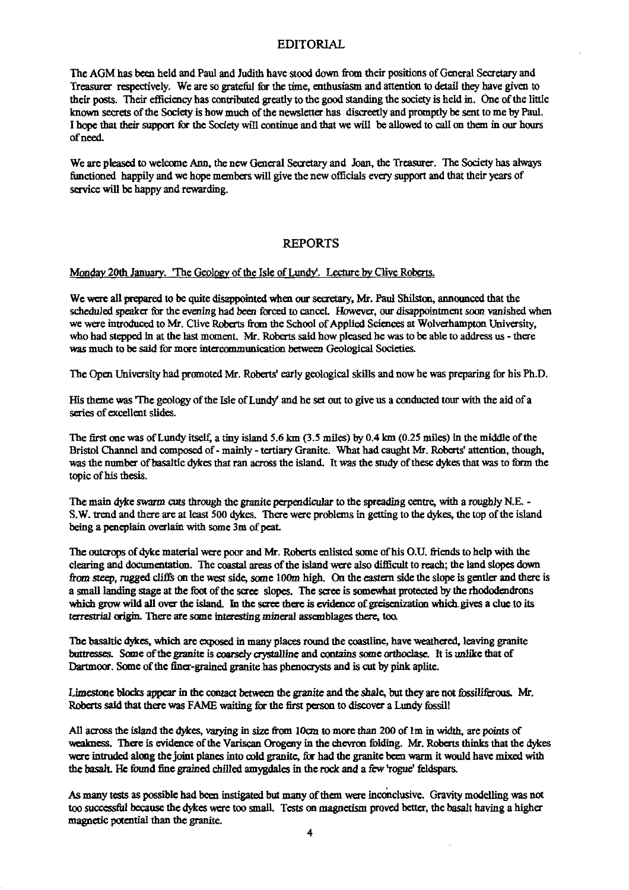#### EDITORIAL

The AGM has been held and Paul and Judith have stood down from their positions of General Secretary and Treasurer respectively. We are so grateful for the time, enthusiasm and attention to detail they have given to their posts. Their efficiency has contributed greatly to the good standing the society is held in. One of the little known secrets of the Society is how much of the newsletter has discreetly and promptly be sent to me by Paul. I hope that their support for the Society will continue and that we will be allowed to call on them in our hours of need.

We are pleased to welcome Ann, the new General Secretary and Joan, the Treasurer. The Society has always functioned happily and we hope members will give the new officials every support and that their years of service will be happy and rewarding.

#### REPORTS

# Monday 20th January. 'The Geology of the Isle of Lundy'. Lecture by Clive Roberts.

We were all prepared to be quite disappointed when our secretary, Mr. Paul Shilston, announced that the scheduled speaker for the evening had been forced to cancel. However, our disappointment soon vanished when we were introduced to Mr. Clive Roberts from the School of Applied Sciences at Wolverhampton University, who had stepped in at the last moment. Mr. Roberts said how pleased he was to be able to address us - there was much to be said for more intercommunication between Geological Societies.

The Open University had promoted Mr. Roberts' early geological skills and now he was preparing for his Ph.D.

His theme was 'The geology of the Isle of Lundy' and he set out to give us a conducted tour with the aid of a series of excellent slides.

The first one was of Lundy itself, a tiny island 5.6 km  $(3.5 \text{ miles})$  by 0.4 km  $(0.25 \text{ miles})$  in the middle of the Bristol Channel and composed of- mainly - tertiary Granite. What had caught Mr. Roberts' attention, though, was the number of basaltic dykes that ran across the island. It was the study of these dykes that was to form the topic of his thesis.

The main dyke swarm cuts through the granite perpendicular to the spreading centre, with a roughly N.E. - S.W. trend and there are at least 500 dykes. There were problems in getting to the dykes, the top of the island being a peneplain overlain with some 3m of peat.

The outcrops of dyke material were poor and Mr. Roberts enlisted some of his O.U. friends to help with the clearing and documentation. The coastal areas of the island were also difficult to reach; the land slopes down fr*om* steep, rugged cliffs on the west side, some IOOm high. On the eastern side the slope is gentler and there is a small landing stage at the foot of the scree slopes. The scree is somewhat protected by the rhododendrons which grow wild all over the island. In the scree there is evidence of greisenizadon which gives *a* clue to its terrestrial origin. There are some interesting mineral assemblages there, too.

The basaltic dykes, which are exposed in many places round the coastline, have weathered, leaving granite buttresses. Some of the granite is coarsely crystalline and contains some orthoclase. It is unlike that of Dartmoor. Some of the finer-grained granite has phenocrysts and is cut by pink aplite.

Limestone blocks appear in the contact between the granite and the *shale,* but they are not fossiliferous. Mr. Roberts said that there was FAME waiting for the first person to discover a Lundy fossil!

All across the island the dykes, varying in size from 10cm to more than 200 of Im *in width,* are points of weakness. There is evidence of the Variscan Orogeny in the chevron folding. Mr. Roberts thinks that the dykes were intruded along the joint planes into cold granite, *for* had the granite been warm it would have mixed with the basalt. He found fine grained chilled amygdales in the rock and a few 'rogue' feldspars.

As many tests as possible had been instigated but many of them were inconclusive. Gravity modelling was not too successful because the *dykes* were too small. Tests on magnetism proved better, the basalt having a higher magnetic potential than the granite.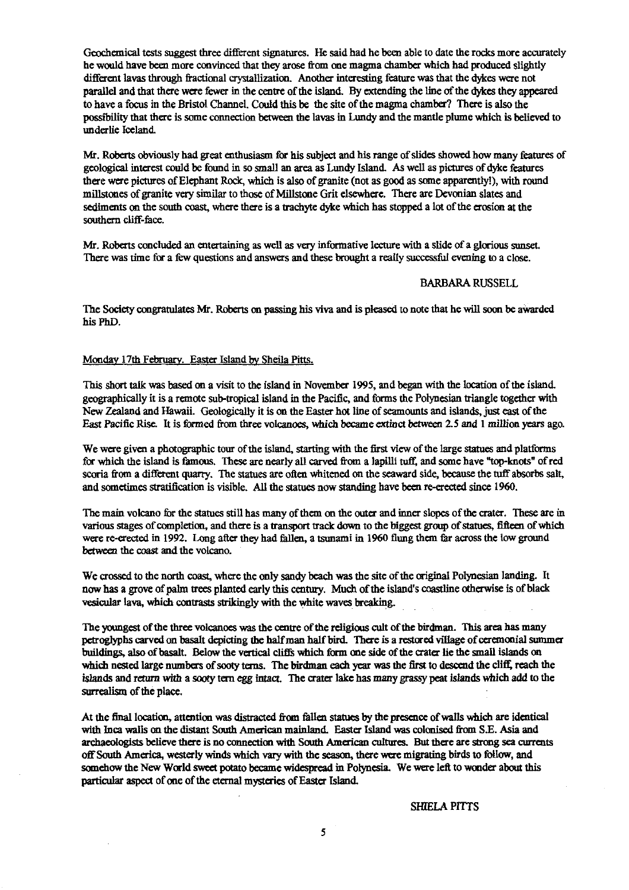Geochemical tests suggest three different signatures. He said had he been able to date the rocks more accurately he would have been more convinced that they arose from one magma chamber which had produced slightly different lavas through fractional crystallization. Another interesting feature was that the dykes were not parallel and that there were fewer in the centre of the island. By extending the line of the dykes they appeared to have a focus in the Bristol Channel. Could this be the site of the magma chamber? There is also the possibility that there is some connection between the lavas in Lundy and the mantle plume which is believed to underlie Iceland.

Mr. Roberts obviously had great enthusiasm for his subject and his range of slides showed how many features of geological interest could be found in so small an area as Lundy Island. As well as pictures of dyke features there were pictures of Elephant Rock, which is also of granite (not as good as some apparently!), with round millstones of granite very similar to those of Millstone Grit elsewhere. There are Devonian slates and sediments on the south coast, where there is a trachyte dyke which has stopped a lot of the erosion at the southern cliff-face.

Mr. Roberts concluded an entertaining as well as very informative lecture with a slide of a glorious sunset. There was time for a few questions and answers and these brought a really successful evening to a close.

#### BARBARA RUSSELL

The Society congratulates Mr. Roberts on passing his viva and is pleased to note that he will soon be awarded his PhD.

## Monday 17th February . Easter Island b<sup>y</sup> Sheila Pitts.

This short talk was based on a visit to the island in November 1995, and began with the location of the island geographically it is a remote sub-tropical island in the Pacific, and forms the Polynesian triangle together with New Zealand and Hawaii. Geologically it is on the Easter hot line of seamounts and islands, just east of the East Pacific Rise. It is formed from three volcanoes, which became extinct between 2.5 and 1 million years ago.

We were given a photographic tour of the island, starting with the first view of the large statues and platforms for which the island is famous. These are nearly all carved from a lapilli tuff, and some have "top-knots" of red scoria from a different quarry. The statues are often whitened on the seaward side, because the tuff absorbs salt, and sometimes stratification is visible. All the statues now standing have been re-erected since 1960.

The main volcano for the statues still has many of them on the outer and inner slopes of the crater. These are in various stages of completion, and there is a transport track down to the biggest group of statues, fifteen of which were re-erected in 1992. Long after *they* had fallen, a tsunami in 1960 flung them far across the low ground between the coast and the volcano.

We crossed to the north coast, where the only sandy beach was the site of the original Polynesian landing. It now has a grove of palm trees planted early this century. Much of the island's coastline otherwise is of black vesicular lava, which contrasts strikingly with the white waves breaking.

The youngest of the three volcanoes was the centre of the religious cult of the birdman. This area has many petroglyphs carved on basalt depicting the half man half bird. There is a restored village of ceremonial summer buildings, also of basalt. Below the vertical cliffs which form one side of the crater he the small islands on which nested large numbers of sooty terns. The birdman each year was the first to descend the cliff reach the islands and return with a sooty tern egg intact. The crater lake has many grassy **peat islands** *which* **add to the surrealism of the place.**

At the final location, attention was distracted from fallen statues by the presence of walls which are identical with Inca walls on the distant South American mainland. Easter Island was colonised from S.E. Asia and archaeologists believe there is no connection with South American cultures. But there are strong sea currents off South America, westerly winds winch vary with the season, there were migrating birds to follow, and somehow the New World sweet potato became widespread in Polynesia. We were left to wonder about this particular aspect of one of the eternal mysteries of Easter Island

SHIELA PITTS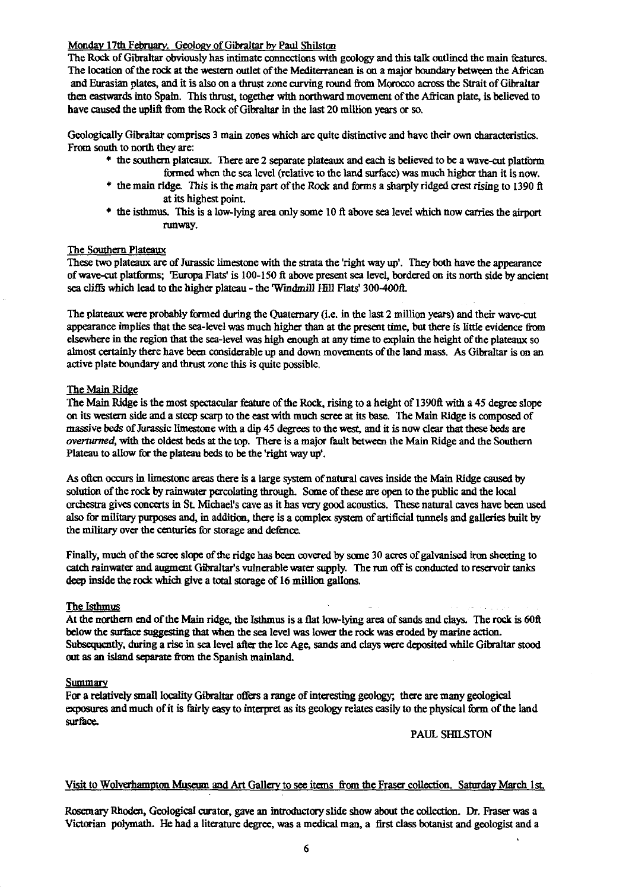### Monday 17th February. Geology of Gibraltar by Paul Shilston

The Rock of Gibraltar obviously has intimate connections with geology and this talk outlined the main features. The location of the rock at the western outlet of the Mediterranean is on a major boundary between the African and Eurasian plates, and it is also **on** a thrust zone curving round from Morocco across the Strait of Gibraltar then eastwards into Spain. This thrust, together with northward movement of the African plate, is believed to have caused the upli**ft fr**om **the** Rock of Gibraltar in the last 20 million years or so.

Geologically Gibraltar comprises 3 main zones which are quite distinctive and have their own characteristics. From south to north they are:

- \* the southern plateaux. There are 2 separate plateaux and each is believed to be a wave-cut platform formed when the sea level (relative to the land surface) was much higher than it is now.
- \* the main ridge. This is the main part of the Rock and forms a sharply ridged crest rising to 1390 ft at its highest point.
- \* the isthmus. This is a **low-lying** area only some 10 ft above sea level which now carries the **airport** runway.

#### The Southern **Plateaux**

These two plateaux are of Jurassic limestone with the s**tr**ata the 'right way up'. They both have the appearance of wave-cut platforms; 'Europa Flats' is 100-150 ft above present sea level, bordered on its north side by ancient sea cliffs which lead to the higher plateau - the Windmill **Hill** Flats' 300-40011.

The plateaux were probably formed during the Quaternary (i.e. in the last 2 million years) and their wave-cut appearance implies that the sea-level was much higher than at the present time, but there is little evidence from elsewhere in the region that the sea-level was high enough at any time to explain the height of the plateaux so almost certainly there have been considerable up and down movements of the land mass. As Gibraltar is on an active plate boundary and thrust zone this is quite possible.

#### **The** Main Ridge

The Main Ridge is the most spectacular feature of the Rock, rising to a height of 1390ft with a 45 degree slope on its western side and a steep scarp to the east with much scree at its base. The Main Ridge is composed of massive beds of Jurassic limestone with a dip 45 degrees to the west, and it is now clear that these beds are *overturned,* with the oldest beds at the top. There is a major fault between the Main Ridge and the Southern Plateau to allow for the plateau beds to be the 'right way up'.

As often occurs in limestone areas there is a large system of natural caves inside the Main Ridge caused by solution of the rock by rainwater percolating through. **Some** of these are open to the public and the local orchestra gives concerts in St. Michael's cave as it has very good acoustics. These natural caves have been used also for military purposes and, in addition, there is a complex system of artificial tunnels and galleries built by the military over the centuries for storage and defence.

Finally, much of the scree slope of the ridge has been covered by some 30 acres of galvanised iron sheeting to catch rainwater and augment Gibraltar's vulnerable water supply. The run off is conducted to reservoir tanks deep inside the rock which give a total storage of 16 million gallons.

#### The Isthmus

At the northern end of the Main ridge, the Isthmus is a flat low-lying area of sands and clays. The rock is 60ft below the surface suggesting that when the sea level was lower the rock was eroded by marine action. Subsequently, during a rise in sea level after the Ice Age, sands and clays were deposited while Gibraltar stood out as an island separate from the Spanish mainland.

#### **Summary**

**For** a relatively small locality G<sup>i</sup> braltar offers a range of interesting geology; there are many geological exposures and much of it is fairly easy to interpret as its geology relates e **as**ily to the physical form of the land surface.

#### PAUL SHILSTON

#### Visit to Wolverhampton **Museum** and A**rt** Gallery to see items from the Fraser collection. Saturday March 1st.

Rosemary Rhoden, Geological curator, gave an introductory slide show about the collection. Dr. Fraser was a Victorian polymath. He had a literature degree, was a medical man, a first class botanist and geologist and a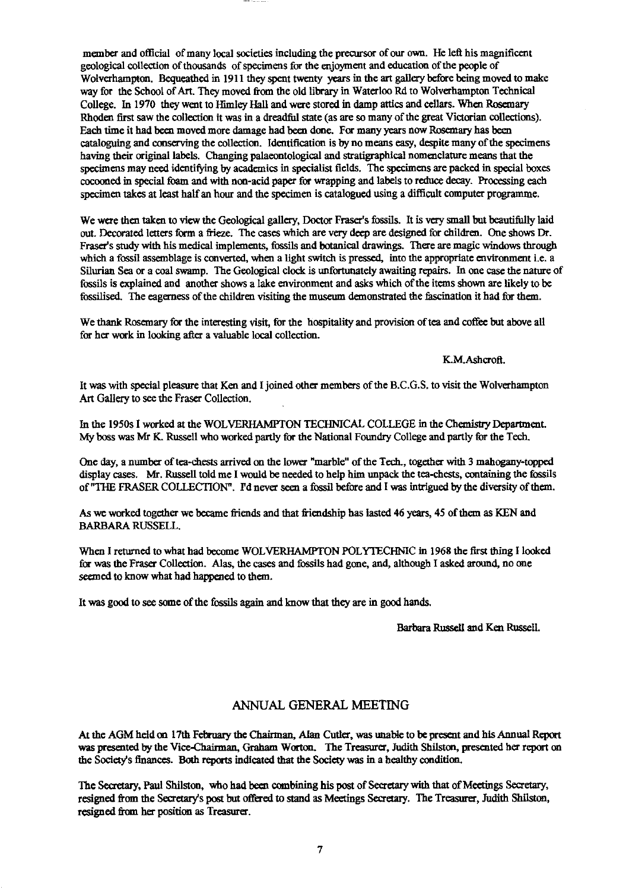member and official of many local societies including the precursor of our own. He left his magnificent geological collection of thousands of specimens for the enjoyment and education of the people of Wolverhampton. Bequeathed in 1911 they spent twenty years in the art gallery before being moved to make way for the School of Art. They moved from the old library in Waterloo Rd to Wolverhampton Technical College. In 1970 they went to *14imley Hall and* were stored in damp attics and cellars. When Rosemary Rhoden first saw the collection it was in a dreadful state (as are so many of the great Victorian collections). Each time it had been moved more damage had been done. For many years now Rosemary has been cataloguing and conserving the collection. Identification is by no means easy, despite many of the specimens having their original labels. Changing palaeontological and stratigraphical nomenclature means that the specimens may need identifying by academics in specialist fields. The specimens are packed in special boxes cocooned in special foam and with non-acid paper for wrapping and labels to reduce decay. Processing each specimen takes at least half an hour and the specimen is catalogued using a difficult computer programme.

We were then taken to view the Geological gallery, Doctor Fraser's fossils. It is very small but beautifully laid out. Decorated letters form a frieze. The cases which are very deep are designed for children. One shows Dr. Fraser's study with his medical implements, fossils and botanical drawings. There are magic windows through which a fossil assemblage is converted, when a light switch is pressed, into the appropriate environment i.e. a Silurian Sea or a coal swamp. The Geological clock is unfortunately awaiting repairs. In one case the nature of fossils is explained and another shows a lake environment and asks which of the items shown are likely to be fossilised. The eagerness of the children visiting the museum demonstrated the fascination it had for them.

We thank Rosemary for the interesting visit, for the hospitality and provision of tea and coffee but above all for her work in looking after a valuable local collection.

#### K.M.Ashcroft.

It was with special pleasure that Ken and I joined other members of the B.C.G.S. to visit the Wolverhampton Art Gallery to see the Fraser Collection.

In the 1950s I worked at the WOLVERHAMPTON TECHNICAL COLLEGE in the Chemistry Department. My boss was Mr K. Russell who worked partly for the National Foundry College and partly for the Tech.

One day, a number of tea-chests arrived on the lower "marble" of the Tech., together with 3 mahogany-topped display cases. Mr. Russell told me I would be needed to help him unpack the tea-chests, containing the fossils of "THE FRASER COLLECTION". Pd never seen a fossil before and I was intrigued by the diversity of them.

As we worked together we became friends and that friendship has lasted 46 years, 45 of them as KEN and BARBARA RUSSELL.

When I returned to what had become WOLVERHAMPTON POLYTECHNIC in 1968 the first thing I looked for was the Fraser Collection. Alas, the cases and fossils had gone, and, although I asked around, no one seemed to know what had happened to them.

It was good to see some of the fossils again and know that they are in good hands.

Barbara Russell and Ken Russell.

#### ANNUAL GENERAL MEETING

At the AGM held on 17th February the Chairman, Alan Cutler, was unable to be present and his Annual Report was presented by the Vice-Chairman, Graham Worton. The Treasurer, Judith ShIlston, presented her report on the Society's finances. Both reports indicated that the Society was in a healthy condition.

The Secretary, Paul Shilston, who had been combining his post of Secretary with that of Meetings Secretary, resigned from the Secretary's post but offered to stand as Meetings Secretary. The Treasurer, Judith Shilston, resigned from her position as Treasurer.